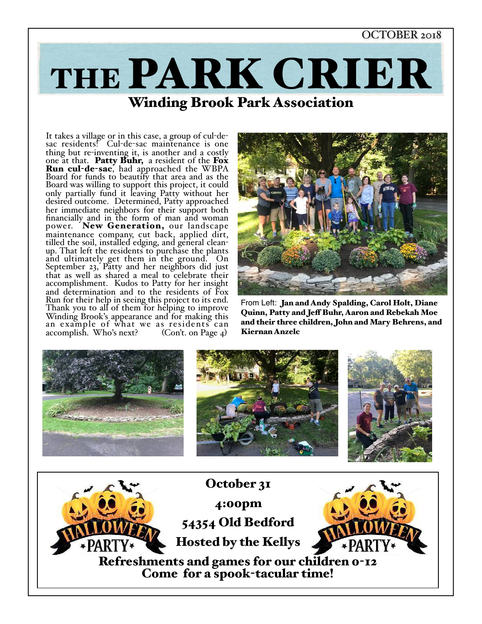#### OCTOBER 2018



It takes a village or in this case, a group of cul-de-<br>sac residents! Cul-de-sac maintenance is one<br>thing but re-inventing it, is another and a costly one at that. Patty Buhr, a resident of the Fox Run cul-de-sac, had approached the WBPA Board for funds to beautify that area and as the Board was willing to support this project, it could only partially fund it leaving Patty without her desired outcome. Determined, Patty approached her immediate neighbors for their support both financially and in the form of man and woman power. New Generation, our landscape maintenance company, cut back, applied dirt, tilled the soil, installed edging, and general clean- up. That left the residents to purchase the plants and ultimately get them in the ground. On September 23, Patty and her neighbors did just that as well as shared a meal to celebrate their accomplishment. Kudos to Patty for her insight and determination and to the residents of Fox Run for their help in seeing this project to its end. Thank you to all of them for helping to improve Winding Brook's appearance and for making this an example of what we as residents can accomplish. Who's next? (Con't. on Page 4)



From Left: Jan and Andy Spalding, Carol Holt, Diane Quinn, Patty and Jef Buhr, Aaron and Rebekah Moe and their three children, John and Mary Behrens, and Kiernan Anzelc

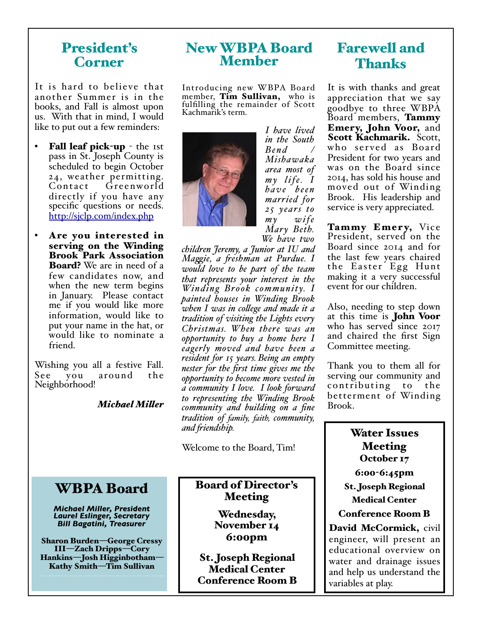## President's Corner

It is hard to believe that another Summer is in the books, and Fall is almost upon us. With that in mind, I would like to put out a few reminders:

- Fall leaf pick-up the 1st pass in St. Joseph County is scheduled to begin October 24, weather permitting. Contact Greenworld directly if you have any specific questions or needs. http://sjclp.com/index.php
- Are you interested in serving on the Winding Brook Park Association **Board?** We are in need of a few candidates now, and when the new term begins in January. Please contact me if you would like more information, would like to put your name in the hat, or would like to nominate a friend.

Wishing you all a festive Fall. See you around the Neighborhood!

#### *Michael Miler*

## New WBPA Board Member

Introducing new WBPA Board member, Tim Sullivan, who is fulfilling the remainder of Scott Kachmarik's term.



*I have lived in the South B e n d / Mishawaka area most of m y l i f e. I ha v e b e e n married for 25 years to*   $w$  *i* f *e Mary Beth. We have two* 

*children Jeremy, a Junior at IU and Magie, a feshman at Purdue. I would love to be part of the team that represents your interest in the Winding Brook community.* I *painted houses in Winding Brook when I was in colege and made it a tradition of visiting the Lights every Christmas. When there was an opportunity to buy a home here I eagerly moved and have been a resident for 15 years. Being an empty nester for the first time gives me the opportunity to become more vested in a community I love. I look forward to representing the Winding Brook community and building on a fine tradition of family, faith, community, and fiendship.*

Welcome to the Board, Tim!

#### Board of Director's Meeting

Wednesday, November 14 6:00pm

St. Joseph Regional Medical Center Conference Room B

## Farewell and Thanks

It is with thanks and great appreciation that we say goodbye to three WBPA Board members, Tammy Emery, John Voor, and Scott Kachmarik. Scott, who served as Board President for two years and was on the Board since 2014, has sold his house and moved out of Winding Brook. His leadership and service is very appreciated.

Tammy Emery, Vice President, served on the Board since 2014 and for the last few years chaired the Easter Egg Hunt making it a very successful event for our children.

Also, needing to step down at this time is John Voor who has served since 2017 and chaired the first Sign Committee meeting.

Thank you to them all for serving our community and contributing to the betterment of Winding Brook.

## Water Issues Meeting October 17 6:00-6:45pm St. Joseph Regional Medical Center Conference Room B David McCormick, civil

engineer, will present an educational overview on water and drainage issues and help us understand the variables at play.

WBPA Board

*Michael Miller, President Laurel Eslinger, Secretary Bill Bagatini, Treasurer*

Sharon Burden—George Cressy III—Zach Dripps—Cory Hankins—Josh Higginbotham— Kathy Smith—Tim Sullivan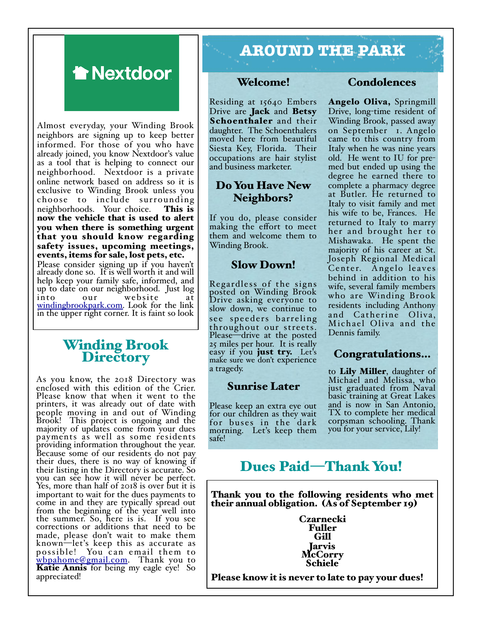

Almost everyday, your Winding Brook neighbors are signing up to keep better informed. For those of you who have already joined, you know Nextdoor's value as a tool that is helping to connect our neighborhood. Nextdoor is a private online network based on address so it is exclusive to Winding Brook unless you choose to include surrounding neighborhoods. Your choice. This is now the vehicle that is used to alert you when there is something urgent that you should know regarding safety issues, upcoming meetings, events, items for sale, lost pets, etc.

Please consider signing up if you haven't already done so. It is well worth it and will help keep your family safe, informed, and up to date on our neighborhood. Just log our website at windingbrookpark.com. Look for the link in the upper right corner. It is faint so look

# Winding Brook Directory

As you know, the 2018 Directory was enclosed with this edition of the Crier. Please know that when it went to the printers, it was already out of date with people moving in and out of Winding Brook! This project is ongoing and the majority of updates come from your dues payments as well as some residents providing information throughout the year. Because some of our residents do not pay their dues, there is no way of knowing if their listing in the Directory is accurate. So you can see how it will never be perfect. Yes, more than half of 2018 is over but it is important to wait for the dues payments to come in and they are typically spread out from the beginning of the year well into the summer. So, here is is. If you see corrections or additions that need to be made, please don't wait to make them known—let's keep this as accurate as possible! You can email them to wbpahome@gmail.com. Thank you to<br>**Katie Annis** for being my eagle eye! So<br>appreciated!

# **AROUND THE PARK**

#### Welcome!

Residing at 15640 Embers Drive are **Jack** and **Betsy** Schoenthaler and their daughter. The Schoenthalers moved here from beautiful Siesta Key, Florida. Their occupations are hair stylist and business marketer.

## Do You Have New Neighbors?

If you do, please consider making the effort to meet them and welcome them to Winding Brook.

### Slow Down!

Regardless of the signs posted on Winding Brook Drive asking everyone to slow down, we continue to see speeders barreling throughout our streets. Please—drive at the posted 25 miles per hour. It is really easy if you just try. Let's make sure we don't experience a tragedy.

#### Sunrise Later

Please keep an extra eye out for our children as they wait for buses in the dark morning. Let's keep them safe!

#### Condolences

Angelo Oliva, Springmill Drive, long-time resident of Winding Brook, passed away on September 1. Angelo came to this country from Italy when he was nine years old. He went to IU for pre- med but ended up using the degree he earned there to complete a pharmacy degree at Butler. He returned to Italy to visit family and met his wife to be, Frances. He returned to Italy to marry her and brought her to Mishawaka. He spent the majority of his career at St. Joseph Regional Medical Center. Angelo leaves behind in addition to his wife, several family members who are Winding Brook residents including Anthony and Catherine Oliva, Michael Oliva and the Dennis family.

### Congratulations…

to Lily Miller, daughter of Michael and Melissa, who just graduated from Naval basic training at Great Lakes and is now in San Antonio, TX to complete her medical corpsman schooling. Thank you for your service, Lily!

## Dues Paid—Thank You!

Thank you to the following residents who met their annual obligation. (As of September 19)

> Czarnecki Fuller Gill **Jarvis** McCorry Schiele

Please know it is never to late to pay your dues!